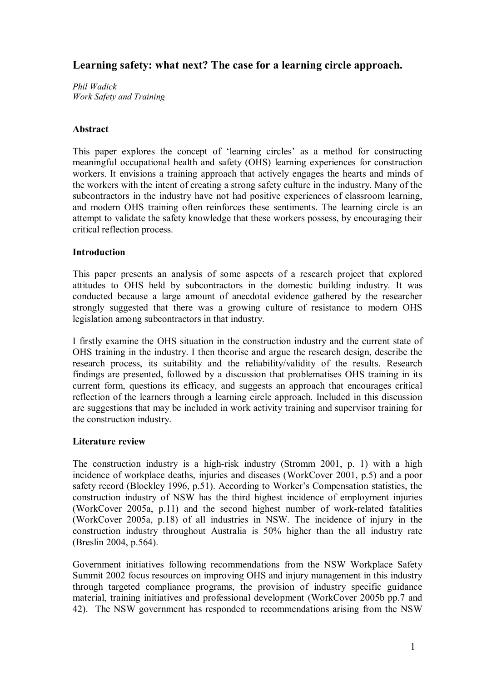# **Learning safety: what next? The case for a learning circle approach.**

*Phil Wadick Work Safety and Training*

### **Abstract**

This paper explores the concept of 'learning circles' as a method for constructing meaningful occupational health and safety (OHS) learning experiences for construction workers. It envisions a training approach that actively engages the hearts and minds of the workers with the intent of creating a strong safety culture in the industry. Many of the subcontractors in the industry have not had positive experiences of classroom learning, and modern OHS training often reinforces these sentiments. The learning circle is an attempt to validate the safety knowledge that these workers possess, by encouraging their critical reflection process.

### **Introduction**

This paper presents an analysis of some aspects of a research project that explored attitudes to OHS held by subcontractors in the domestic building industry. It was conducted because a large amount of anecdotal evidence gathered by the researcher strongly suggested that there was a growing culture of resistance to modern OHS legislation among subcontractors in that industry.

I firstly examine the OHS situation in the construction industry and the current state of OHS training in the industry. I then theorise and argue the research design, describe the research process, its suitability and the reliability/validity of the results. Research findings are presented, followed by a discussion that problematises OHS training in its current form, questions its efficacy, and suggests an approach that encourages critical reflection of the learners through a learning circle approach. Included in this discussion are suggestions that may be included in work activity training and supervisor training for the construction industry.

#### **Literature review**

The construction industry is a high-risk industry (Stromm 2001, p. 1) with a high incidence of workplace deaths, injuries and diseases (WorkCover 2001, p.5) and a poor safety record (Blockley 1996, p.51). According to Worker's Compensation statistics, the construction industry of NSW has the third highest incidence of employment injuries (WorkCover  $2005a$ , p.11) and the second highest number of work-related fatalities (WorkCover 2005a, p.18) of all industries in NSW. The incidence of injury in the construction industry throughout Australia is 50% higher than the all industry rate (Breslin 2004, p.564).

Government initiatives following recommendations from the NSW Workplace Safety Summit 2002 focus resources on improving OHS and injury management in this industry through targeted compliance programs, the provision of industry specific guidance material, training initiatives and professional development (WorkCover 2005b pp.7 and 42). The NSW government has responded to recommendations arising from the NSW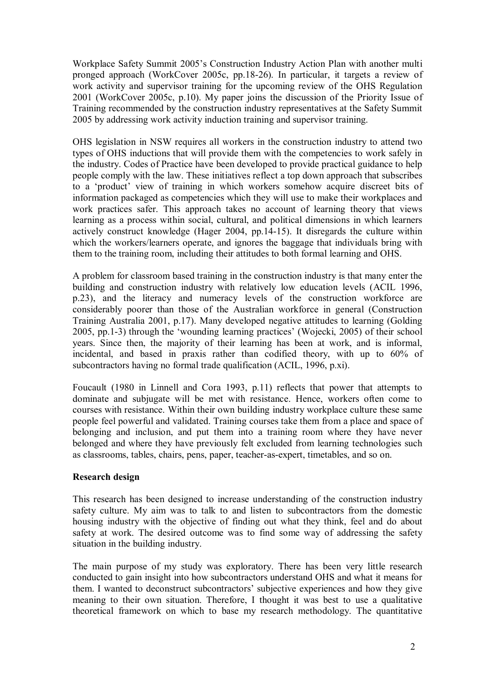Workplace Safety Summit 2005's Construction Industry Action Plan with another multi pronged approach (WorkCover 2005c, pp.1826). In particular, it targets a review of work activity and supervisor training for the upcoming review of the OHS Regulation 2001 (WorkCover 2005c, p.10). My paper joins the discussion of the Priority Issue of Training recommended by the construction industry representatives at the Safety Summit 2005 by addressing work activity induction training and supervisor training.

OHS legislation in NSW requires all workers in the construction industry to attend two types of OHS inductions that will provide them with the competencies to work safely in the industry. Codes of Practice have been developed to provide practical guidance to help people comply with the law. These initiatives reflect a top down approach that subscribes to a 'product' view of training in which workers somehow acquire discreet bits of information packaged as competencies which they will use to make their workplaces and work practices safer. This approach takes no account of learning theory that views learning as a process within social, cultural, and political dimensions in which learners actively construct knowledge (Hager 2004, pp. 14-15). It disregards the culture within which the workers/learners operate, and ignores the baggage that individuals bring with them to the training room, including their attitudes to both formal learning and OHS.

A problem for classroom based training in the construction industry is that many enter the building and construction industry with relatively low education levels (ACIL 1996, p.23), and the literacy and numeracy levels of the construction workforce are considerably poorer than those of the Australian workforce in general (Construction Training Australia 2001, p.17). Many developed negative attitudes to learning (Golding 2005, pp.13) through the 'wounding learning practices' (Wojecki, 2005) of their school years. Since then, the majority of their learning has been at work, and is informal, incidental, and based in praxis rather than codified theory, with up to 60% of subcontractors having no formal trade qualification (ACIL, 1996, p.xi).

Foucault (1980 in Linnell and Cora 1993, p.11) reflects that power that attempts to dominate and subjugate will be met with resistance. Hence, workers often come to courses with resistance. Within their own building industry workplace culture these same people feel powerful and validated. Training courses take them from a place and space of belonging and inclusion, and put them into a training room where they have never belonged and where they have previously felt excluded from learning technologies such as classrooms, tables, chairs, pens, paper, teacher-as-expert, timetables, and so on.

#### **Research design**

This research has been designed to increase understanding of the construction industry safety culture. My aim was to talk to and listen to subcontractors from the domestic housing industry with the objective of finding out what they think, feel and do about safety at work. The desired outcome was to find some way of addressing the safety situation in the building industry.

The main purpose of my study was exploratory. There has been very little research conducted to gain insight into how subcontractors understand OHS and what it means for them. I wanted to deconstruct subcontractors' subjective experiences and how they give meaning to their own situation. Therefore, I thought it was best to use a qualitative theoretical framework on which to base my research methodology. The quantitative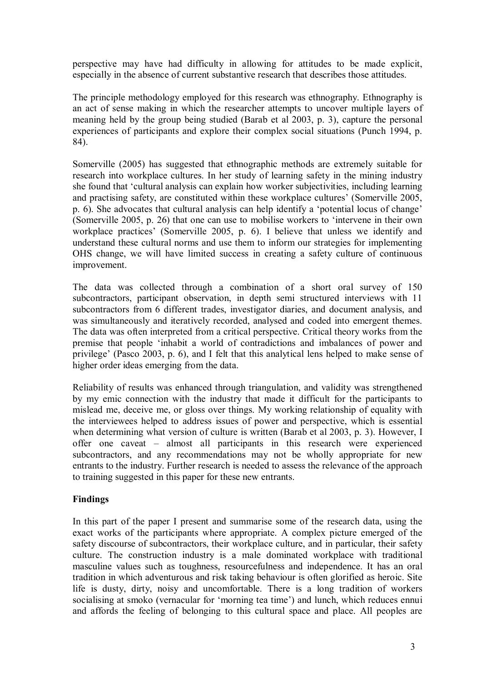perspective may have had difficulty in allowing for attitudes to be made explicit, especially in the absence of current substantive research that describes those attitudes.

The principle methodology employed for this research was ethnography. Ethnography is an act of sense making in which the researcher attempts to uncover multiple layers of meaning held by the group being studied (Barab et al 2003, p. 3), capture the personal experiences of participants and explore their complex social situations (Punch 1994, p. 84).

Somerville (2005) has suggested that ethnographic methods are extremely suitable for research into workplace cultures. In her study of learning safety in the mining industry she found that 'cultural analysis can explain how worker subjectivities, including learning and practising safety, are constituted within these workplace cultures' (Somerville 2005, p. 6). She advocates that cultural analysis can help identify a 'potential locus of change' (Somerville 2005, p. 26) that one can use to mobilise workers to 'intervene in their own workplace practices' (Somerville 2005, p. 6). I believe that unless we identify and understand these cultural norms and use them to inform our strategies for implementing OHS change, we will have limited success in creating a safety culture of continuous improvement.

The data was collected through a combination of a short oral survey of 150 subcontractors, participant observation, in depth semi structured interviews with 11 subcontractors from 6 different trades, investigator diaries, and document analysis, and was simultaneously and iteratively recorded, analysed and coded into emergent themes. The data was often interpreted from a critical perspective. Critical theory works from the premise that people 'inhabit a world of contradictions and imbalances of power and privilege' (Pasco 2003, p. 6), and I felt that this analytical lens helped to make sense of higher order ideas emerging from the data.

Reliability of results was enhanced through triangulation, and validity was strengthened by my emic connection with the industry that made it difficult for the participants to mislead me, deceive me, or gloss over things. My working relationship of equality with the interviewees helped to address issues of power and perspective, which is essential when determining what version of culture is written (Barab et al 2003, p. 3). However, I offer one caveat – almost all participants in this research were experienced subcontractors, and any recommendations may not be wholly appropriate for new entrants to the industry. Further research is needed to assess the relevance of the approach to training suggested in this paper for these new entrants.

# **Findings**

In this part of the paper I present and summarise some of the research data, using the exact works of the participants where appropriate. A complex picture emerged of the safety discourse of subcontractors, their workplace culture, and in particular, their safety culture. The construction industry is a male dominated workplace with traditional masculine values such as toughness, resourcefulness and independence. It has an oral tradition in which adventurous and risk taking behaviour is often glorified as heroic. Site life is dusty, dirty, noisy and uncomfortable. There is a long tradition of workers socialising at smoko (vernacular for 'morning tea time') and lunch, which reduces ennui and affords the feeling of belonging to this cultural space and place. All peoples are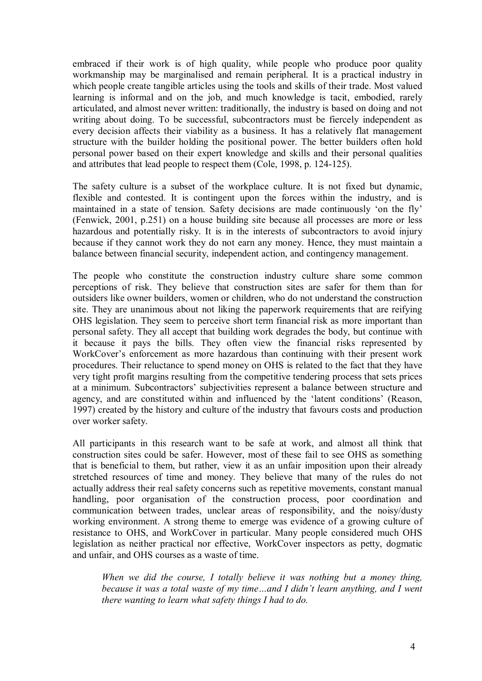embraced if their work is of high quality, while people who produce poor quality workmanship may be marginalised and remain peripheral. It is a practical industry in which people create tangible articles using the tools and skills of their trade. Most valued learning is informal and on the job, and much knowledge is tacit, embodied, rarely articulated, and almost never written: traditionally, the industry is based on doing and not writing about doing. To be successful, subcontractors must be fiercely independent as every decision affects their viability as a business. It has a relatively flat management structure with the builder holding the positional power. The better builders often hold personal power based on their expert knowledge and skills and their personal qualities and attributes that lead people to respect them (Cole, 1998, p. 124-125).

The safety culture is a subset of the workplace culture. It is not fixed but dynamic, flexible and contested. It is contingent upon the forces within the industry, and is maintained in a state of tension. Safety decisions are made continuously 'on the fly' (Fenwick, 2001, p.251) on a house building site because all processes are more or less hazardous and potentially risky. It is in the interests of subcontractors to avoid injury because if they cannot work they do not earn any money. Hence, they must maintain a balance between financial security, independent action, and contingency management.

The people who constitute the construction industry culture share some common perceptions of risk. They believe that construction sites are safer for them than for outsiders like owner builders, women or children, who do not understand the construction site. They are unanimous about not liking the paperwork requirements that are reifying OHS legislation. They seem to perceive short term financial risk as more important than personal safety. They all accept that building work degrades the body, but continue with it because it pays the bills. They often view the financial risks represented by WorkCover's enforcement as more hazardous than continuing with their present work procedures. Their reluctance to spend money on OHS is related to the fact that they have very tight profit margins resulting from the competitive tendering process that sets prices at a minimum. Subcontractors' subjectivities represent a balance between structure and agency, and are constituted within and influenced by the 'latent conditions' (Reason, 1997) created by the history and culture of the industry that favours costs and production over worker safety.

All participants in this research want to be safe at work, and almost all think that construction sites could be safer. However, most of these fail to see OHS as something that is beneficial to them, but rather, view it as an unfair imposition upon their already stretched resources of time and money. They believe that many of the rules do not actually address their real safety concerns such as repetitive movements, constant manual handling, poor organisation of the construction process, poor coordination and communication between trades, unclear areas of responsibility, and the noisy/dusty working environment. A strong theme to emerge was evidence of a growing culture of resistance to OHS, and WorkCover in particular. Many people considered much OHS legislation as neither practical nor effective, WorkCover inspectors as petty, dogmatic and unfair, and OHS courses as a waste of time.

*When we did the course, I totally believe it was nothing but a money thing, because it was a total waste of my time…and I didn't learn anything, and I went there wanting to learn what safety things I had to do.*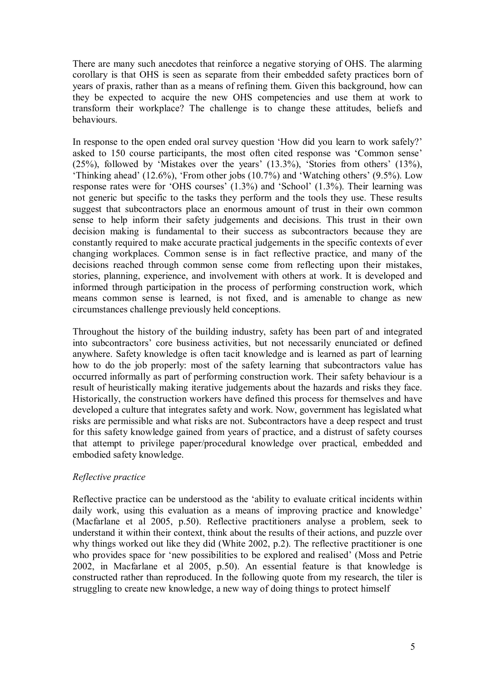There are many such anecdotes that reinforce a negative storying of OHS. The alarming corollary is that OHS is seen as separate from their embedded safety practices born of years of praxis, rather than as a means of refining them. Given this background, how can they be expected to acquire the new OHS competencies and use them at work to transform their workplace? The challenge is to change these attitudes, beliefs and behaviours.

In response to the open ended oral survey question 'How did you learn to work safely?' asked to 150 course participants, the most often cited response was 'Common sense' (25%), followed by 'Mistakes over the years' (13.3%), 'Stories from others' (13%), 'Thinking ahead' (12.6%), 'From other jobs (10.7%) and 'Watching others' (9.5%). Low response rates were for 'OHS courses' (1.3%) and 'School' (1.3%). Their learning was not generic but specific to the tasks they perform and the tools they use. These results suggest that subcontractors place an enormous amount of trust in their own common sense to help inform their safety judgements and decisions. This trust in their own decision making is fundamental to their success as subcontractors because they are constantly required to make accurate practical judgements in the specific contexts of ever changing workplaces. Common sense is in fact reflective practice, and many of the decisions reached through common sense come from reflecting upon their mistakes, stories, planning, experience, and involvement with others at work. It is developed and informed through participation in the process of performing construction work, which means common sense is learned, is not fixed, and is amenable to change as new circumstances challenge previously held conceptions.

Throughout the history of the building industry, safety has been part of and integrated into subcontractors' core business activities, but not necessarily enunciated or defined anywhere. Safety knowledge is often tacit knowledge and is learned as part of learning how to do the job properly: most of the safety learning that subcontractors value has occurred informally as part of performing construction work. Their safety behaviour is a result of heuristically making iterative judgements about the hazards and risks they face. Historically, the construction workers have defined this process for themselves and have developed a culture that integrates safety and work. Now, government has legislated what risks are permissible and what risks are not. Subcontractors have a deep respect and trust for this safety knowledge gained from years of practice, and a distrust of safety courses that attempt to privilege paper/procedural knowledge over practical, embedded and embodied safety knowledge.

# *Reflective practice*

Reflective practice can be understood as the 'ability to evaluate critical incidents within daily work, using this evaluation as a means of improving practice and knowledge' (Macfarlane et al 2005, p.50). Reflective practitioners analyse a problem, seek to understand it within their context, think about the results of their actions, and puzzle over why things worked out like they did (White 2002, p.2). The reflective practitioner is one who provides space for 'new possibilities to be explored and realised' (Moss and Petrie 2002, in Macfarlane et al 2005, p.50). An essential feature is that knowledge is constructed rather than reproduced. In the following quote from my research, the tiler is struggling to create new knowledge, a new way of doing things to protect himself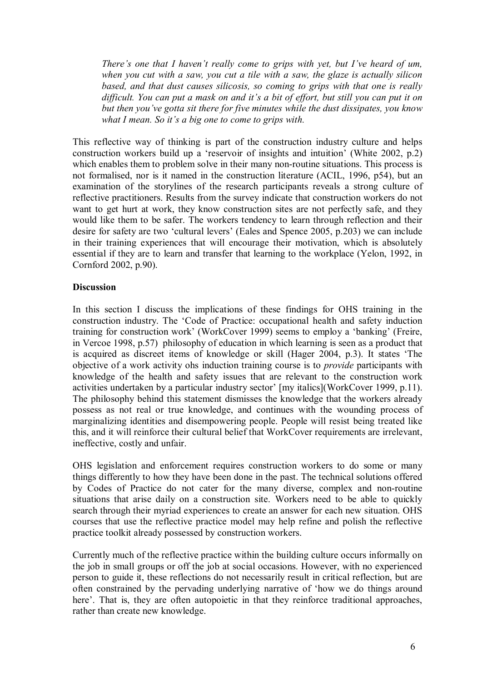*There's one that I haven't really come to grips with yet, but I've heard of um, when you cut with a saw, you cut a tile with a saw, the glaze is actually silicon based, and that dust causes silicosis, so coming to grips with that one is really difficult. You can put a mask on and it's a bit of effort, but still you can put it on but then you've gotta sit there for five minutes while the dust dissipates, you know what I mean. So it's a big one to come to grips with.*

This reflective way of thinking is part of the construction industry culture and helps construction workers build up a 'reservoir of insights and intuition' (White 2002, p.2) which enables them to problem solve in their many non-routine situations. This process is not formalised, nor is it named in the construction literature (ACIL, 1996, p54), but an examination of the storylines of the research participants reveals a strong culture of reflective practitioners. Results from the survey indicate that construction workers do not want to get hurt at work, they know construction sites are not perfectly safe, and they would like them to be safer. The workers tendency to learn through reflection and their desire for safety are two 'cultural levers' (Eales and Spence 2005, p.203) we can include in their training experiences that will encourage their motivation, which is absolutely essential if they are to learn and transfer that learning to the workplace (Yelon, 1992, in Cornford 2002, p.90).

### **Discussion**

In this section I discuss the implications of these findings for OHS training in the construction industry. The 'Code of Practice: occupational health and safety induction training for construction work' (WorkCover 1999) seems to employ a 'banking' (Freire, in Vercoe 1998, p.57) philosophy of education in which learning is seen as a product that is acquired as discreet items of knowledge or skill (Hager 2004, p.3). It states 'The objective of a work activity ohs induction training course is to *provide* participants with knowledge of the health and safety issues that are relevant to the construction work activities undertaken by a particular industry sector' [my italics](WorkCover 1999, p.11). The philosophy behind this statement dismisses the knowledge that the workers already possess as not real or true knowledge, and continues with the wounding process of marginalizing identities and disempowering people. People will resist being treated like this, and it will reinforce their cultural belief that WorkCover requirements are irrelevant, ineffective, costly and unfair.

OHS legislation and enforcement requires construction workers to do some or many things differently to how they have been done in the past. The technical solutions offered by Codes of Practice do not cater for the many diverse, complex and nonroutine situations that arise daily on a construction site. Workers need to be able to quickly search through their myriad experiences to create an answer for each new situation. OHS courses that use the reflective practice model may help refine and polish the reflective practice toolkit already possessed by construction workers.

Currently much of the reflective practice within the building culture occurs informally on the job in small groups or off the job at social occasions. However, with no experienced person to guide it, these reflections do not necessarily result in critical reflection, but are often constrained by the pervading underlying narrative of 'how we do things around here'. That is, they are often autopoietic in that they reinforce traditional approaches, rather than create new knowledge.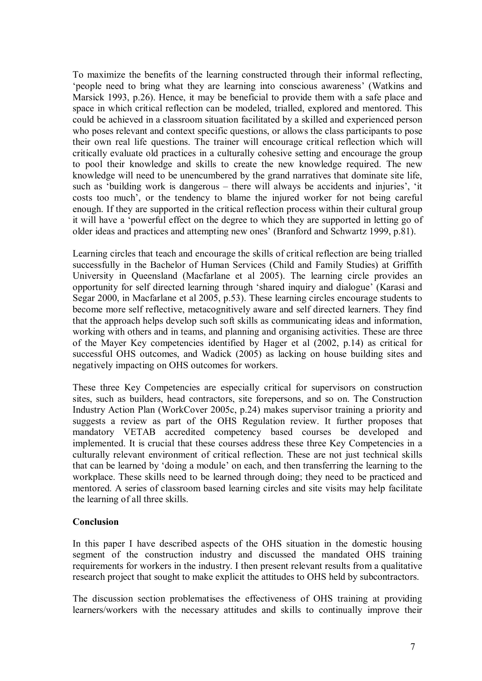To maximize the benefits of the learning constructed through their informal reflecting, 'people need to bring what they are learning into conscious awareness' (Watkins and Marsick 1993, p.26). Hence, it may be beneficial to provide them with a safe place and space in which critical reflection can be modeled, trialled, explored and mentored. This could be achieved in a classroom situation facilitated by a skilled and experienced person who poses relevant and context specific questions, or allows the class participants to pose their own real life questions. The trainer will encourage critical reflection which will critically evaluate old practices in a culturally cohesive setting and encourage the group to pool their knowledge and skills to create the new knowledge required. The new knowledge will need to be unencumbered by the grand narratives that dominate site life, such as 'building work is dangerous – there will always be accidents and injuries', 'it costs too much', or the tendency to blame the injured worker for not being careful enough. If they are supported in the critical reflection process within their cultural group it will have a 'powerful effect on the degree to which they are supported in letting go of older ideas and practices and attempting new ones' (Branford and Schwartz 1999, p.81).

Learning circles that teach and encourage the skills of critical reflection are being trialled successfully in the Bachelor of Human Services (Child and Family Studies) at Griffith University in Queensland (Macfarlane et al 2005). The learning circle provides an opportunity for self directed learning through 'shared inquiry and dialogue' (Karasi and Segar 2000, in Macfarlane et al 2005, p.53). These learning circles encourage students to become more self reflective, metacognitively aware and self directed learners. They find that the approach helps develop such soft skills as communicating ideas and information, working with others and in teams, and planning and organising activities. These are three of the Mayer Key competencies identified by Hager et al (2002, p.14) as critical for successful OHS outcomes, and Wadick (2005) as lacking on house building sites and negatively impacting on OHS outcomes for workers.

These three Key Competencies are especially critical for supervisors on construction sites, such as builders, head contractors, site forepersons, and so on. The Construction Industry Action Plan (WorkCover 2005c, p.24) makes supervisor training a priority and suggests a review as part of the OHS Regulation review. It further proposes that mandatory VETAB accredited competency based courses be developed and implemented. It is crucial that these courses address these three Key Competencies in a culturally relevant environment of critical reflection. These are not just technical skills that can be learned by 'doing a module' on each, and then transferring the learning to the workplace. These skills need to be learned through doing; they need to be practiced and mentored. A series of classroom based learning circles and site visits may help facilitate the learning of all three skills.

#### **Conclusion**

In this paper I have described aspects of the OHS situation in the domestic housing segment of the construction industry and discussed the mandated OHS training requirements for workers in the industry. I then present relevant results from a qualitative research project that sought to make explicit the attitudes to OHS held by subcontractors.

The discussion section problematises the effectiveness of OHS training at providing learners/workers with the necessary attitudes and skills to continually improve their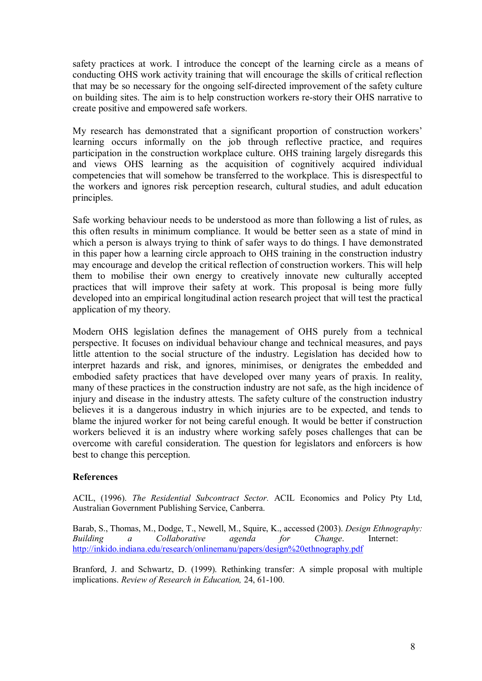safety practices at work. I introduce the concept of the learning circle as a means of conducting OHS work activity training that will encourage the skills of critical reflection that may be so necessary for the ongoing self-directed improvement of the safety culture on building sites. The aim is to help construction workers re-story their OHS narrative to create positive and empowered safe workers.

My research has demonstrated that a significant proportion of construction workers' learning occurs informally on the job through reflective practice, and requires participation in the construction workplace culture. OHS training largely disregards this and views OHS learning as the acquisition of cognitively acquired individual competencies that will somehow be transferred to the workplace. This is disrespectful to the workers and ignores risk perception research, cultural studies, and adult education principles.

Safe working behaviour needs to be understood as more than following a list of rules, as this often results in minimum compliance. It would be better seen as a state of mind in which a person is always trying to think of safer ways to do things. I have demonstrated in this paper how a learning circle approach to OHS training in the construction industry may encourage and develop the critical reflection of construction workers. This will help them to mobilise their own energy to creatively innovate new culturally accepted practices that will improve their safety at work. This proposal is being more fully developed into an empirical longitudinal action research project that will test the practical application of my theory.

Modern OHS legislation defines the management of OHS purely from a technical perspective. It focuses on individual behaviour change and technical measures, and pays little attention to the social structure of the industry. Legislation has decided how to interpret hazards and risk, and ignores, minimises, or denigrates the embedded and embodied safety practices that have developed over many years of praxis. In reality, many of these practices in the construction industry are not safe, as the high incidence of injury and disease in the industry attests. The safety culture of the construction industry believes it is a dangerous industry in which injuries are to be expected, and tends to blame the injured worker for not being careful enough. It would be better if construction workers believed it is an industry where working safely poses challenges that can be overcome with careful consideration. The question for legislators and enforcers is how best to change this perception.

# **References**

ACIL, (1996). *The Residential Subcontract Sector.* ACIL Economics and Policy Pty Ltd, Australian Government Publishing Service, Canberra.

Barab, S., Thomas, M., Dodge, T., Newell, M., Squire, K., accessed (2003). *Design Ethnography:* **Building** a Collaborative agenda for Change. <http://inkido.indiana.edu/research/onlinemanu/papers/design%20ethnography.pdf>

Branford, J. and Schwartz, D. (1999). Rethinking transfer: A simple proposal with multiple implications. *Review of Research in Education*, 24, 61-100.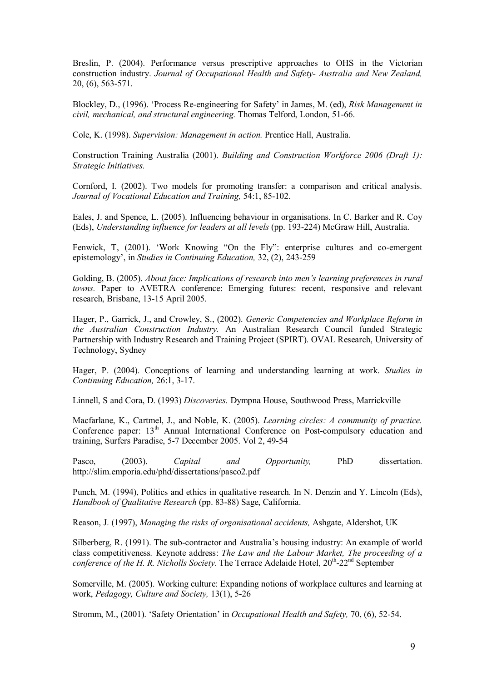Breslin, P. (2004). Performance versus prescriptive approaches to OHS in the Victorian construction industry. *Journal of Occupational Health and Safety Australia and New Zealand,* 20, (6), 563-571.

Blockley, D., (1996). 'Process Reengineering for Safety' in James, M. (ed), *Risk Management in civil, mechanical, and structural engineering. Thomas Telford, London, 51-66.* 

Cole, K. (1998). *Supervision: Management in action.* Prentice Hall, Australia.

Construction Training Australia (2001). *Building and Construction Workforce 2006 (Draft 1): Strategic Initiatives.*

Cornford, I. (2002). Two models for promoting transfer: a comparison and critical analysis. *Journal of Vocational Education and Training,* 54:1, 85102.

Eales, J. and Spence, L. (2005). Influencing behaviour in organisations. In C. Barker and R. Coy (Eds), *Understanding influence for leaders at all levels* (pp. 193224) McGraw Hill, Australia.

Fenwick, T, (2001). 'Work Knowing "On the Fly": enterprise cultures and co-emergent epistemology', in *Studies in Continuing Education*, 32, (2), 243-259

Golding, B. (2005). *About face: Implications of research into men's learning preferences in rural towns.* Paper to AVETRA conference: Emerging futures: recent, responsive and relevant research, Brisbane, 13-15 April 2005.

Hager, P., Garrick, J., and Crowley, S., (2002). *Generic Competencies and Workplace Reform in the Australian Construction Industry.* An Australian Research Council funded Strategic Partnership with Industry Research and Training Project (SPIRT). OVAL Research, University of Technology, Sydney

Hager, P. (2004). Conceptions of learning and understanding learning at work. *Studies in Continuing Education, 26:1, 3-17.* 

Linnell, S and Cora, D. (1993) *Discoveries.* Dympna House, Southwood Press, Marrickville

Macfarlane, K., Cartmel, J., and Noble, K. (2005). *Learning circles: A community of practice.* Conference paper: 13<sup>th</sup> Annual International Conference on Post-compulsory education and training, Surfers Paradise, 5-7 December 2005. Vol 2, 49-54

Pasco, (2003). *Capital and Opportunity,* PhD dissertation. http://slim.emporia.edu/phd/dissertations/pasco2.pdf

Punch, M. (1994), Politics and ethics in qualitative research. In N. Denzin and Y. Lincoln (Eds), *Handbook of Qualitative Research* (pp. 83-88) Sage, California.

Reason, J. (1997), *Managing the risks of organisational accidents,* Ashgate, Aldershot, UK

Silberberg, R. (1991). The sub-contractor and Australia's housing industry: An example of world class competitiveness*.* Keynote address: *The Law and the Labour Market, The proceeding of a conference of the H. R. Nicholls Society.* The Terrace Adelaide Hotel,  $20<sup>th</sup>$ - $22<sup>nd</sup>$  September

Somerville, M. (2005). Working culture: Expanding notions of workplace cultures and learning at work, *Pedagogy, Culture and Society,* 13(1), 526

Stromm, M., (2001). 'Safety Orientation' in *Occupational Health and Safety*, 70, (6), 52-54.